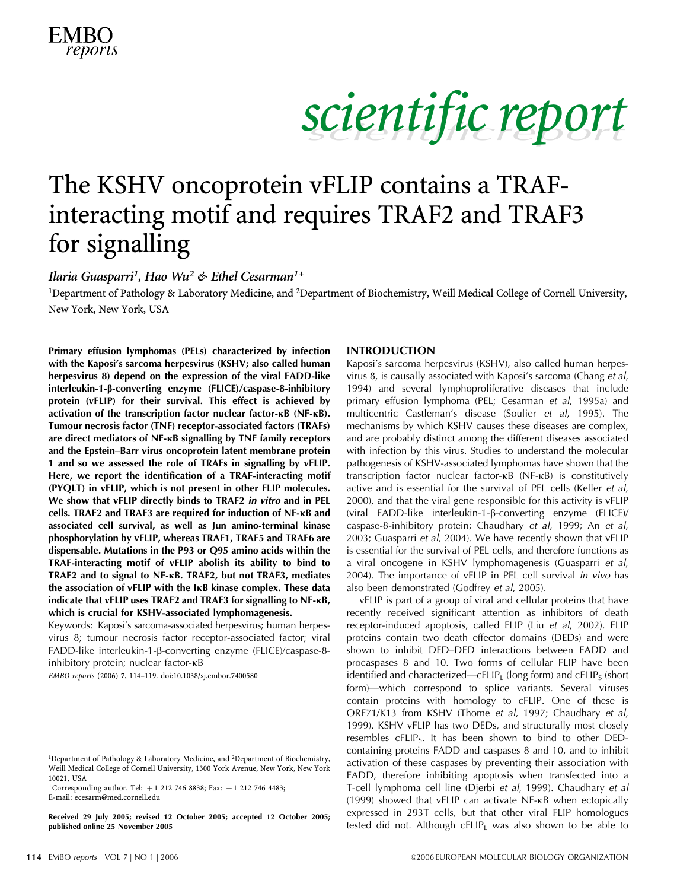

### The KSHV oncoprotein vFLIP contains a TRAFinteracting motif and requires TRAF2 and TRAF3 for signalling

Ilaria Guasparri<sup>1</sup>, Hao Wu<sup>2</sup> & Ethel Cesarman<sup>1+</sup>

<sup>1</sup>Department of Pathology & Laboratory Medicine, and <sup>2</sup>Department of Biochemistry, Weill Medical College of Cornell University, New York, New York, USA

Primary effusion lymphomas (PELs) characterized by infection with the Kaposi's sarcoma herpesvirus (KSHV; also called human herpesvirus 8) depend on the expression of the viral FADD-like interleukin-1-b-converting enzyme (FLICE)/caspase-8-inhibitory protein (vFLIP) for their survival. This effect is achieved by activation of the transcription factor nuclear factor-KB (NF-KB). Tumour necrosis factor (TNF) receptor-associated factors (TRAFs) are direct mediators of NF-KB signalling by TNF family receptors and the Epstein–Barr virus oncoprotein latent membrane protein 1 and so we assessed the role of TRAFs in signalling by vFLIP. Here, we report the identification of a TRAF-interacting motif (PYQLT) in vFLIP, which is not present in other FLIP molecules. We show that vFLIP directly binds to TRAF2 in vitro and in PEL cells. TRAF2 and TRAF3 are required for induction of NF-KB and associated cell survival, as well as Jun amino-terminal kinase phosphorylation by vFLIP, whereas TRAF1, TRAF5 and TRAF6 are dispensable. Mutations in the P93 or Q95 amino acids within the TRAF-interacting motif of vFLIP abolish its ability to bind to TRAF2 and to signal to NF-KB. TRAF2, but not TRAF3, mediates the association of vFLIP with the IKB kinase complex. These data indicate that  $vFLIP$  uses TRAF2 and TRAF3 for signalling to  $NF$ - $\kappa B$ , which is crucial for KSHV-associated lymphomagenesis.

Keywords: Kaposi's sarcoma-associated herpesvirus; human herpesvirus 8; tumour necrosis factor receptor-associated factor; viral FADD-like interleukin-1-b-converting enzyme (FLICE)/caspase-8 inhibitory protein; nuclear factor-kB

EMBO reports (2006) 7, 114–119. doi:10.1038/sj.embor.7400580

+Corresponding author. Tel:  $+1$  212 746 8838; Fax:  $+1$  212 746 4483; E-mail: ecesarm@med.cornell.edu

published online 25 November 2005

#### INTRODUCTION

Kaposi's sarcoma herpesvirus (KSHV), also called human herpesvirus 8, is causally associated with Kaposi's sarcoma (Chang et al, 1994) and several lymphoproliferative diseases that include primary effusion lymphoma (PEL; Cesarman et al, 1995a) and multicentric Castleman's disease (Soulier et al, 1995). The mechanisms by which KSHV causes these diseases are complex, and are probably distinct among the different diseases associated with infection by this virus. Studies to understand the molecular pathogenesis of KSHV-associated lymphomas have shown that the transcription factor nuclear factor-kB (NF-kB) is constitutively active and is essential for the survival of PEL cells (Keller et al, 2000), and that the viral gene responsible for this activity is vFLIP (viral FADD-like interleukin-1-b-converting enzyme (FLICE)/ caspase-8-inhibitory protein; Chaudhary et al, 1999; An et al, 2003; Guasparri et al, 2004). We have recently shown that vFLIP is essential for the survival of PEL cells, and therefore functions as a viral oncogene in KSHV lymphomagenesis (Guasparri et al, 2004). The importance of vFLIP in PEL cell survival in vivo has also been demonstrated (Godfrey et al, 2005).

vFLIP is part of a group of viral and cellular proteins that have recently received significant attention as inhibitors of death receptor-induced apoptosis, called FLIP (Liu et al, 2002). FLIP proteins contain two death effector domains (DEDs) and were shown to inhibit DED–DED interactions between FADD and procaspases 8 and 10. Two forms of cellular FLIP have been identified and characterized—cFLIP<sub>1</sub> (long form) and cFLIP<sub>S</sub> (short form)—which correspond to splice variants. Several viruses contain proteins with homology to cFLIP. One of these is ORF71/K13 from KSHV (Thome et al, 1997; Chaudhary et al, 1999). KSHV vFLIP has two DEDs, and structurally most closely resembles  $cFLIP_5$ . It has been shown to bind to other DEDcontaining proteins FADD and caspases 8 and 10, and to inhibit activation of these caspases by preventing their association with FADD, therefore inhibiting apoptosis when transfected into a T-cell lymphoma cell line (Djerbi et al, 1999). Chaudhary et al (1999) showed that vFLIP can activate NF-kB when ectopically expressed in 293T cells, but that other viral FLIP homologues Received 29 July 2005; revised 12 October 2005; accepted 12 October 2005; expressed in 2931 cells, but that other viral FLIP nomologues<br>published online 25 November 2005 ested did not. Although cFLIP<sub>L</sub> was also shown to b

<sup>&</sup>lt;sup>1</sup>Department of Pathology & Laboratory Medicine, and <sup>2</sup>Department of Biochemistry, Weill Medical College of Cornell University, 1300 York Avenue, New York, New York 10021, USA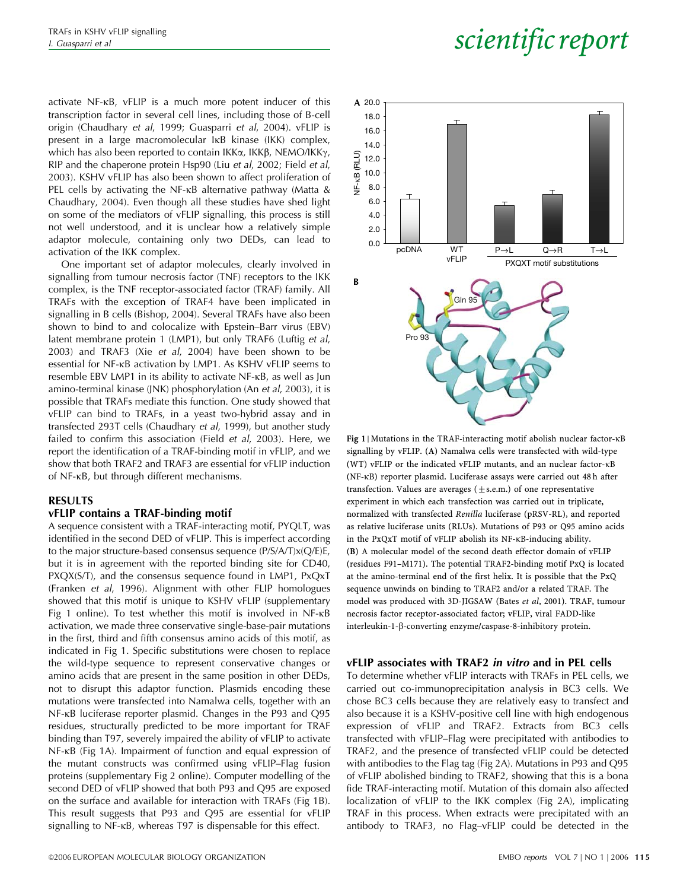activate NF-kB, vFLIP is a much more potent inducer of this transcription factor in several cell lines, including those of B-cell origin (Chaudhary et al, 1999; Guasparri et al, 2004). vFLIP is present in a large macromolecular IkB kinase (IKK) complex, which has also been reported to contain IKK $\alpha$ , IKK $\beta$ , NEMO/IKK $\gamma$ , RIP and the chaperone protein Hsp90 (Liu et al, 2002; Field et al, 2003). KSHV vFLIP has also been shown to affect proliferation of PEL cells by activating the NF-KB alternative pathway (Matta & Chaudhary, 2004). Even though all these studies have shed light on some of the mediators of vFLIP signalling, this process is still not well understood, and it is unclear how a relatively simple adaptor molecule, containing only two DEDs, can lead to activation of the IKK complex.

One important set of adaptor molecules, clearly involved in signalling from tumour necrosis factor (TNF) receptors to the IKK complex, is the TNF receptor-associated factor (TRAF) family. All TRAFs with the exception of TRAF4 have been implicated in signalling in B cells (Bishop, 2004). Several TRAFs have also been shown to bind to and colocalize with Epstein–Barr virus (EBV) latent membrane protein 1 (LMP1), but only TRAF6 (Luftig et al, 2003) and TRAF3 (Xie et al, 2004) have been shown to be essential for NF-kB activation by LMP1. As KSHV vFLIP seems to resemble EBV LMP1 in its ability to activate NF-kB, as well as Jun amino-terminal kinase (JNK) phosphorylation (An et al, 2003), it is possible that TRAFs mediate this function. One study showed that vFLIP can bind to TRAFs, in a yeast two-hybrid assay and in transfected 293T cells (Chaudhary et al, 1999), but another study failed to confirm this association (Field et al, 2003). Here, we report the identification of a TRAF-binding motif in vFLIP, and we show that both TRAF2 and TRAF3 are essential for vFLIP induction of NF-kB, but through different mechanisms.

#### RESULTS

#### vFLIP contains a TRAF-binding motif

A sequence consistent with a TRAF-interacting motif, PYQLT, was identified in the second DED of vFLIP. This is imperfect according to the major structure-based consensus sequence (P/S/A/T)x(Q/E)E, but it is in agreement with the reported binding site for CD40, PXQX(S/T), and the consensus sequence found in LMP1, PxQxT (Franken et al, 1996). Alignment with other FLIP homologues showed that this motif is unique to KSHV vFLIP (supplementary Fig 1 online). To test whether this motif is involved in NF-KB activation, we made three conservative single-base-pair mutations in the first, third and fifth consensus amino acids of this motif, as indicated in Fig 1. Specific substitutions were chosen to replace the wild-type sequence to represent conservative changes or amino acids that are present in the same position in other DEDs, not to disrupt this adaptor function. Plasmids encoding these mutations were transfected into Namalwa cells, together with an NF-kB luciferase reporter plasmid. Changes in the P93 and Q95 residues, structurally predicted to be more important for TRAF binding than T97, severely impaired the ability of vFLIP to activate NF-kB (Fig 1A). Impairment of function and equal expression of the mutant constructs was confirmed using vFLIP–Flag fusion proteins (supplementary Fig 2 online). Computer modelling of the second DED of vFLIP showed that both P93 and Q95 are exposed on the surface and available for interaction with TRAFs (Fig 1B). This result suggests that P93 and Q95 are essential for vFLIP signalling to NF-kB, whereas T97 is dispensable for this effect.

#### in the PxQxT motif of vFLIP abolish its NF-kB-inducing ability. (B) A molecular model of the second death effector domain of vFLIP (residues F91–M171). The potential TRAF2-binding motif PxQ is located

at the amino-terminal end of the first helix. It is possible that the PxQ sequence unwinds on binding to TRAF2 and/or a related TRAF. The model was produced with 3D-JIGSAW (Bates et al, 2001). TRAF, tumour necrosis factor receptor-associated factor; vFLIP, viral FADD-like interleukin-1-b-converting enzyme/caspase-8-inhibitory protein.

signalling by vFLIP. (A) Namalwa cells were transfected with wild-type (WT) vFLIP or the indicated vFLIP mutants, and an nuclear factor-kB (NF-kB) reporter plasmid. Luciferase assays were carried out 48 h after transfection. Values are averages  $(\pm s.e.m.)$  of one representative experiment in which each transfection was carried out in triplicate, normalized with transfected Renilla luciferase (pRSV-RL), and reported as relative luciferase units (RLUs). Mutations of P93 or Q95 amino acids

#### vFLIP associates with TRAF2 in vitro and in PEL cells

To determine whether vFLIP interacts with TRAFs in PEL cells, we carried out co-immunoprecipitation analysis in BC3 cells. We chose BC3 cells because they are relatively easy to transfect and also because it is a KSHV-positive cell line with high endogenous expression of vFLIP and TRAF2. Extracts from BC3 cells transfected with vFLIP–Flag were precipitated with antibodies to TRAF2, and the presence of transfected vFLIP could be detected with antibodies to the Flag tag (Fig 2A). Mutations in P93 and Q95 of vFLIP abolished binding to TRAF2, showing that this is a bona fide TRAF-interacting motif. Mutation of this domain also affected localization of vFLIP to the IKK complex (Fig 2A), implicating TRAF in this process. When extracts were precipitated with an antibody to TRAF3, no Flag–vFLIP could be detected in the



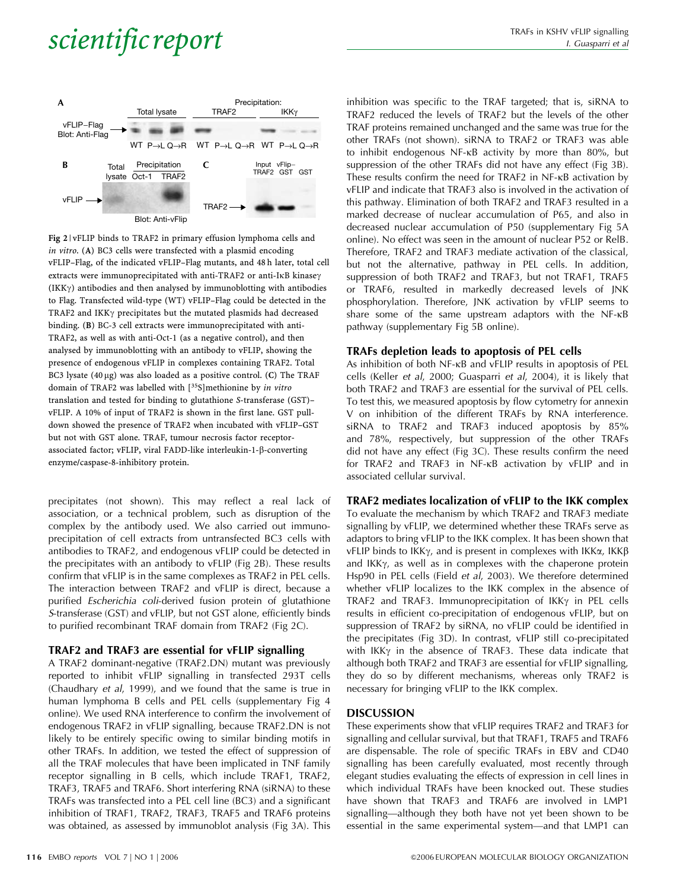

Fig 2 | vFLIP binds to TRAF2 in primary effusion lymphoma cells and in vitro. (A) BC3 cells were transfected with a plasmid encoding vFLIP–Flag, of the indicated vFLIP–Flag mutants, and 48 h later, total cell extracts were immunoprecipitated with anti-TRAF2 or anti-IkB kinasey  $(IKK\gamma)$  antibodies and then analysed by immunoblotting with antibodies to Flag. Transfected wild-type (WT) vFLIP–Flag could be detected in the TRAF2 and IKK $\gamma$  precipitates but the mutated plasmids had decreased binding. (B) BC-3 cell extracts were immunoprecipitated with anti-TRAF2, as well as with anti-Oct-1 (as a negative control), and then analysed by immunoblotting with an antibody to vFLIP, showing the presence of endogenous vFLIP in complexes containing TRAF2. Total BC3 lysate  $(40 \mu g)$  was also loaded as a positive control. (C) The TRAF domain of TRAF2 was labelled with [35S]methionine by in vitro translation and tested for binding to glutathione S-transferase (GST)– vFLIP. A 10% of input of TRAF2 is shown in the first lane. GST pulldown showed the presence of TRAF2 when incubated with vFLIP–GST but not with GST alone. TRAF, tumour necrosis factor receptorassociated factor; vFLIP, viral FADD-like interleukin-1-b-converting enzyme/caspase-8-inhibitory protein.

precipitates (not shown). This may reflect a real lack of association, or a technical problem, such as disruption of the complex by the antibody used. We also carried out immunoprecipitation of cell extracts from untransfected BC3 cells with antibodies to TRAF2, and endogenous vFLIP could be detected in the precipitates with an antibody to vFLIP (Fig 2B). These results confirm that vFLIP is in the same complexes as TRAF2 in PEL cells. The interaction between TRAF2 and vFLIP is direct, because a purified Escherichia coli-derived fusion protein of glutathione S-transferase (GST) and vFLIP, but not GST alone, efficiently binds to purified recombinant TRAF domain from TRAF2 (Fig 2C).

#### TRAF2 and TRAF3 are essential for vFLIP signalling

A TRAF2 dominant-negative (TRAF2.DN) mutant was previously reported to inhibit vFLIP signalling in transfected 293T cells (Chaudhary et al, 1999), and we found that the same is true in human lymphoma B cells and PEL cells (supplementary Fig 4 online). We used RNA interference to confirm the involvement of endogenous TRAF2 in vFLIP signalling, because TRAF2.DN is not likely to be entirely specific owing to similar binding motifs in other TRAFs. In addition, we tested the effect of suppression of all the TRAF molecules that have been implicated in TNF family receptor signalling in B cells, which include TRAF1, TRAF2, TRAF3, TRAF5 and TRAF6. Short interfering RNA (siRNA) to these TRAFs was transfected into a PEL cell line (BC3) and a significant inhibition of TRAF1, TRAF2, TRAF3, TRAF5 and TRAF6 proteins was obtained, as assessed by immunoblot analysis (Fig 3A). This inhibition was specific to the TRAF targeted; that is, siRNA to TRAF2 reduced the levels of TRAF2 but the levels of the other TRAF proteins remained unchanged and the same was true for the other TRAFs (not shown). siRNA to TRAF2 or TRAF3 was able to inhibit endogenous NF-kB activity by more than 80%, but suppression of the other TRAFs did not have any effect (Fig 3B). These results confirm the need for TRAF2 in NF- $\kappa$ B activation by vFLIP and indicate that TRAF3 also is involved in the activation of this pathway. Elimination of both TRAF2 and TRAF3 resulted in a marked decrease of nuclear accumulation of P65, and also in decreased nuclear accumulation of P50 (supplementary Fig 5A online). No effect was seen in the amount of nuclear P52 or RelB. Therefore, TRAF2 and TRAF3 mediate activation of the classical, but not the alternative, pathway in PEL cells. In addition, suppression of both TRAF2 and TRAF3, but not TRAF1, TRAF5 or TRAF6, resulted in markedly decreased levels of JNK phosphorylation. Therefore, JNK activation by vFLIP seems to share some of the same upstream adaptors with the NF-kB pathway (supplementary Fig 5B online).

#### TRAFs depletion leads to apoptosis of PEL cells

As inhibition of both NF-kB and vFLIP results in apoptosis of PEL cells (Keller et al, 2000; Guasparri et al, 2004), it is likely that both TRAF2 and TRAF3 are essential for the survival of PEL cells. To test this, we measured apoptosis by flow cytometry for annexin V on inhibition of the different TRAFs by RNA interference. siRNA to TRAF2 and TRAF3 induced apoptosis by 85% and 78%, respectively, but suppression of the other TRAFs did not have any effect (Fig 3C). These results confirm the need for TRAF2 and TRAF3 in NF-kB activation by vFLIP and in associated cellular survival.

#### TRAF2 mediates localization of vFLIP to the IKK complex

To evaluate the mechanism by which TRAF2 and TRAF3 mediate signalling by vFLIP, we determined whether these TRAFs serve as adaptors to bring vFLIP to the IKK complex. It has been shown that vFLIP binds to IKK $\gamma$ , and is present in complexes with IKK $\alpha$ , IKK $\beta$ and  $IKK\gamma$ , as well as in complexes with the chaperone protein Hsp90 in PEL cells (Field et al, 2003). We therefore determined whether vFLIP localizes to the IKK complex in the absence of TRAF2 and TRAF3. Immunoprecipitation of IKK $\gamma$  in PEL cells results in efficient co-precipitation of endogenous vFLIP, but on suppression of TRAF2 by siRNA, no vFLIP could be identified in the precipitates (Fig 3D). In contrast, vFLIP still co-precipitated with IKK $\gamma$  in the absence of TRAF3. These data indicate that although both TRAF2 and TRAF3 are essential for vFLIP signalling, they do so by different mechanisms, whereas only TRAF2 is necessary for bringing vFLIP to the IKK complex.

#### DISCUSSION

These experiments show that vFLIP requires TRAF2 and TRAF3 for signalling and cellular survival, but that TRAF1, TRAF5 and TRAF6 are dispensable. The role of specific TRAFs in EBV and CD40 signalling has been carefully evaluated, most recently through elegant studies evaluating the effects of expression in cell lines in which individual TRAFs have been knocked out. These studies have shown that TRAF3 and TRAF6 are involved in LMP1 signalling—although they both have not yet been shown to be essential in the same experimental system—and that LMP1 can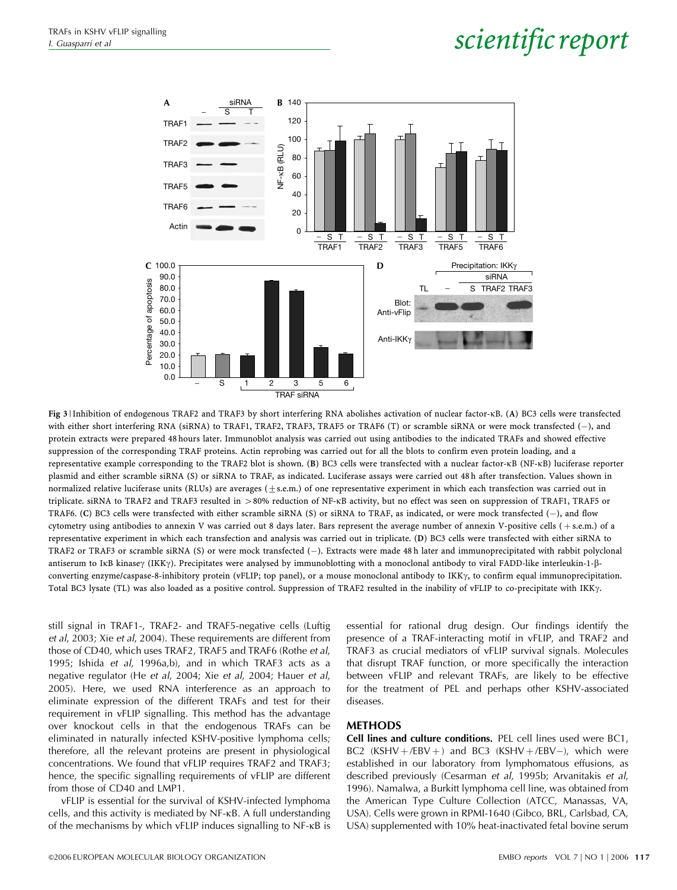

Fig 3 | Inhibition of endogenous TRAF2 and TRAF3 by short interfering RNA abolishes activation of nuclear factor-kB. (A) BC3 cells were transfected with either short interfering RNA (siRNA) to TRAF1, TRAF2, TRAF3, TRAF5 or TRAF6 (T) or scramble siRNA or were mock transfected (-), and protein extracts were prepared 48 hours later. Immunoblot analysis was carried out using antibodies to the indicated TRAFs and showed effective suppression of the corresponding TRAF proteins. Actin reprobing was carried out for all the blots to confirm even protein loading, and a representative example corresponding to the TRAF2 blot is shown. (B) BC3 cells were transfected with a nuclear factor-kB (NF-kB) luciferase reporter plasmid and either scramble siRNA (S) or siRNA to TRAF, as indicated. Luciferase assays were carried out 48 h after transfection. Values shown in normalized relative luciferase units (RLUs) are averages ( $\pm$ s.e.m.) of one representative experiment in which each transfection was carried out in triplicate. siRNA to TRAF2 and TRAF3 resulted in 480% reduction of NF-kB activity, but no effect was seen on suppression of TRAF1, TRAF5 or TRAF6. (C) BC3 cells were transfected with either scramble siRNA (S) or siRNA to TRAF, as indicated, or were mock transfected (-), and flow cytometry using antibodies to annexin V was carried out 8 days later. Bars represent the average number of annexin V-positive cells (+s.e.m.) of a representative experiment in which each transfection and analysis was carried out in triplicate. (D) BC3 cells were transfected with either siRNA to TRAF2 or TRAF3 or scramble siRNA (S) or were mock transfected (-). Extracts were made 48 h later and immunoprecipitated with rabbit polyclonal antiserum to IkB kinasey (IKKy). Precipitates were analysed by immunoblotting with a monoclonal antibody to viral FADD-like interleukin-1-ßconverting enzyme/caspase-8-inhibitory protein (vFLIP; top panel), or a mouse monoclonal antibody to IKK $\gamma$ , to confirm equal immunoprecipitation. Total BC3 lysate (TL) was also loaded as a positive control. Suppression of TRAF2 resulted in the inability of vFLIP to co-precipitate with IKK $\gamma$ .

still signal in TRAF1-, TRAF2- and TRAF5-negative cells (Luftig et al, 2003; Xie et al, 2004). These requirements are different from those of CD40, which uses TRAF2, TRAF5 and TRAF6 (Rothe et al, 1995; Ishida et al, 1996a,b), and in which TRAF3 acts as a negative regulator (He et al, 2004; Xie et al, 2004; Hauer et al, 2005). Here, we used RNA interference as an approach to eliminate expression of the different TRAFs and test for their requirement in vFLIP signalling. This method has the advantage over knockout cells in that the endogenous TRAFs can be eliminated in naturally infected KSHV-positive lymphoma cells; therefore, all the relevant proteins are present in physiological concentrations. We found that vFLIP requires TRAF2 and TRAF3; hence, the specific signalling requirements of vFLIP are different from those of CD40 and LMP1.

vFLIP is essential for the survival of KSHV-infected lymphoma cells, and this activity is mediated by NF-kB. A full understanding of the mechanisms by which vFLIP induces signalling to NF-kB is essential for rational drug design. Our findings identify the presence of a TRAF-interacting motif in vFLIP, and TRAF2 and TRAF3 as crucial mediators of vFLIP survival signals. Molecules that disrupt TRAF function, or more specifically the interaction between vFLIP and relevant TRAFs, are likely to be effective for the treatment of PEL and perhaps other KSHV-associated diseases.

#### METHODS

Cell lines and culture conditions. PEL cell lines used were BC1,  $BC2$  (KSHV +/EBV +) and BC3 (KSHV +/EBV-), which were established in our laboratory from lymphomatous effusions, as described previously (Cesarman et al, 1995b; Arvanitakis et al, 1996). Namalwa, a Burkitt lymphoma cell line, was obtained from the American Type Culture Collection (ATCC, Manassas, VA, USA). Cells were grown in RPMI-1640 (Gibco, BRL, Carlsbad, CA, USA) supplemented with 10% heat-inactivated fetal bovine serum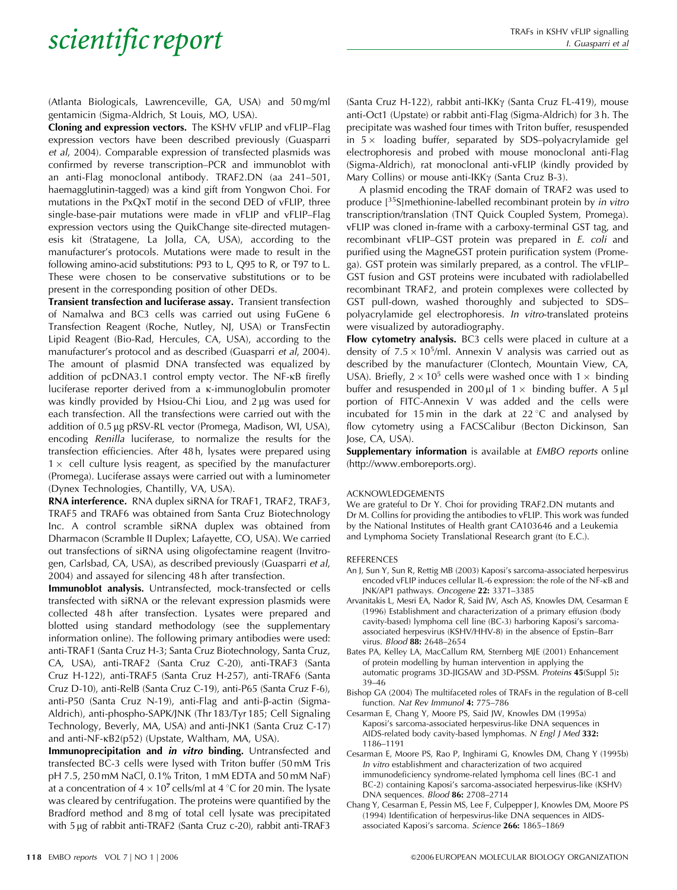(Atlanta Biologicals, Lawrenceville, GA, USA) and 50 mg/ml gentamicin (Sigma-Aldrich, St Louis, MO, USA).

Cloning and expression vectors. The KSHV vFLIP and vFLIP–Flag expression vectors have been described previously (Guasparri et al, 2004). Comparable expression of transfected plasmids was confirmed by reverse transcription–PCR and immunoblot with an anti-Flag monoclonal antibody. TRAF2.DN (aa 241–501, haemagglutinin-tagged) was a kind gift from Yongwon Choi. For mutations in the PxQxT motif in the second DED of vFLIP, three single-base-pair mutations were made in vFLIP and vFLIP–Flag expression vectors using the QuikChange site-directed mutagenesis kit (Stratagene, La Jolla, CA, USA), according to the manufacturer's protocols. Mutations were made to result in the following amino-acid substitutions: P93 to L, Q95 to R, or T97 to L. These were chosen to be conservative substitutions or to be present in the corresponding position of other DEDs.

Transient transfection and luciferase assay. Transient transfection of Namalwa and BC3 cells was carried out using FuGene 6 Transfection Reagent (Roche, Nutley, NJ, USA) or TransFectin Lipid Reagent (Bio-Rad, Hercules, CA, USA), according to the manufacturer's protocol and as described (Guasparri et al, 2004). The amount of plasmid DNA transfected was equalized by addition of pcDNA3.1 control empty vector. The NF-<sub>KB</sub> firefly luciferase reporter derived from a k-immunoglobulin promoter was kindly provided by Hsiou-Chi Liou, and 2 µg was used for each transfection. All the transfections were carried out with the addition of 0.5 µg pRSV-RL vector (Promega, Madison, WI, USA), encoding Renilla luciferase, to normalize the results for the transfection efficiencies. After 48 h, lysates were prepared using  $1 \times$  cell culture lysis reagent, as specified by the manufacturer (Promega). Luciferase assays were carried out with a luminometer (Dynex Technologies, Chantilly, VA, USA).

RNA interference. RNA duplex siRNA for TRAF1, TRAF2, TRAF3, TRAF5 and TRAF6 was obtained from Santa Cruz Biotechnology Inc. A control scramble siRNA duplex was obtained from Dharmacon (Scramble II Duplex; Lafayette, CO, USA). We carried out transfections of siRNA using oligofectamine reagent (Invitrogen, Carlsbad, CA, USA), as described previously (Guasparri et al, 2004) and assayed for silencing 48 h after transfection.

Immunoblot analysis. Untransfected, mock-transfected or cells transfected with siRNA or the relevant expression plasmids were collected 48 h after transfection. Lysates were prepared and blotted using standard methodology (see the supplementary information online). The following primary antibodies were used: anti-TRAF1 (Santa Cruz H-3; Santa Cruz Biotechnology, Santa Cruz, CA, USA), anti-TRAF2 (Santa Cruz C-20), anti-TRAF3 (Santa Cruz H-122), anti-TRAF5 (Santa Cruz H-257), anti-TRAF6 (Santa Cruz D-10), anti-RelB (Santa Cruz C-19), anti-P65 (Santa Cruz F-6), anti-P50 (Santa Cruz N-19), anti-Flag and anti-b-actin (Sigma-Aldrich), anti-phospho-SAPK/JNK (Thr 183/Tyr 185; Cell Signaling Technology, Beverly, MA, USA) and anti-JNK1 (Santa Cruz C-17) and anti-NF-kB2(p52) (Upstate, Waltham, MA, USA).

Immunoprecipitation and in vitro binding. Untransfected and transfected BC-3 cells were lysed with Triton buffer (50 mM Tris pH 7.5, 250 mM NaCl, 0.1% Triton, 1 mM EDTA and 50 mM NaF) at a concentration of  $4 \times 10^7$  cells/ml at  $4^{\circ}$ C for 20 min. The lysate was cleared by centrifugation. The proteins were quantified by the Bradford method and 8 mg of total cell lysate was precipitated with 5 µg of rabbit anti-TRAF2 (Santa Cruz c-20), rabbit anti-TRAF3

(Santa Cruz H-122), rabbit anti-IKKg (Santa Cruz FL-419), mouse anti-Oct1 (Upstate) or rabbit anti-Flag (Sigma-Aldrich) for 3 h. The precipitate was washed four times with Triton buffer, resuspended in  $5 \times$  loading buffer, separated by SDS–polyacrylamide gel electrophoresis and probed with mouse monoclonal anti-Flag (Sigma-Aldrich), rat monoclonal anti-vFLIP (kindly provided by Mary Collins) or mouse anti-IKK $\gamma$  (Santa Cruz B-3).

A plasmid encoding the TRAF domain of TRAF2 was used to produce [35S]methionine-labelled recombinant protein by in vitro transcription/translation (TNT Quick Coupled System, Promega). vFLIP was cloned in-frame with a carboxy-terminal GST tag, and recombinant vFLIP–GST protein was prepared in E. coli and purified using the MagneGST protein purification system (Promega). GST protein was similarly prepared, as a control. The vFLIP– GST fusion and GST proteins were incubated with radiolabelled recombinant TRAF2, and protein complexes were collected by GST pull-down, washed thoroughly and subjected to SDS– polyacrylamide gel electrophoresis. In vitro-translated proteins were visualized by autoradiography.

Flow cytometry analysis. BC3 cells were placed in culture at a density of  $7.5 \times 10^5$ /ml. Annexin V analysis was carried out as described by the manufacturer (Clontech, Mountain View, CA, USA). Briefly,  $2 \times 10^5$  cells were washed once with  $1 \times$  binding buffer and resuspended in 200 µl of  $1 \times$  binding buffer. A 5 µl portion of FITC-Annexin V was added and the cells were incubated for 15 min in the dark at  $22^{\circ}$ C and analysed by flow cytometry using a FACSCalibur (Becton Dickinson, San Jose, CA, USA).

Supplementary information is available at EMBO reports online (http://www.emboreports.org).

#### ACKNOWLEDGEMENTS

We are grateful to Dr Y. Choi for providing TRAF2.DN mutants and Dr M. Collins for providing the antibodies to vFLIP. This work was funded by the National Institutes of Health grant CA103646 and a Leukemia and Lymphoma Society Translational Research grant (to E.C.).

#### REFERENCES

- An J, Sun Y, Sun R, Rettig MB (2003) Kaposi's sarcoma-associated herpesvirus encoded vFLIP induces cellular IL-6 expression: the role of the NF-kB and JNK/AP1 pathways. Oncogene 22: 3371–3385
- Arvanitakis L, Mesri EA, Nador R, Said JW, Asch AS, Knowles DM, Cesarman E (1996) Establishment and characterization of a primary effusion (body cavity-based) lymphoma cell line (BC-3) harboring Kaposi's sarcomaassociated herpesvirus (KSHV/HHV-8) in the absence of Epstin–Barr virus. Blood 88: 2648–2654
- Bates PA, Kelley LA, MacCallum RM, Sternberg MJE (2001) Enhancement of protein modelling by human intervention in applying the automatic programs 3D-JIGSAW and 3D-PSSM. Proteins 45(Suppl 5): 39–46
- Bishop GA (2004) The multifaceted roles of TRAFs in the regulation of B-cell function. Nat Rev Immunol 4: 775–786
- Cesarman E, Chang Y, Moore PS, Said JW, Knowles DM (1995a) Kaposi's sarcoma-associated herpesvirus-like DNA sequences in AIDS-related body cavity-based lymphomas. N Engl J Med 332: 1186–1191
- Cesarman E, Moore PS, Rao P, Inghirami G, Knowles DM, Chang Y (1995b) In vitro establishment and characterization of two acquired immunodeficiency syndrome-related lymphoma cell lines (BC-1 and BC-2) containing Kaposi's sarcoma-associated herpesvirus-like (KSHV) DNA sequences. Blood 86: 2708–2714
- Chang Y, Cesarman E, Pessin MS, Lee F, Culpepper J, Knowles DM, Moore PS (1994) Identification of herpesvirus-like DNA sequences in AIDSassociated Kaposi's sarcoma. Science 266: 1865–1869